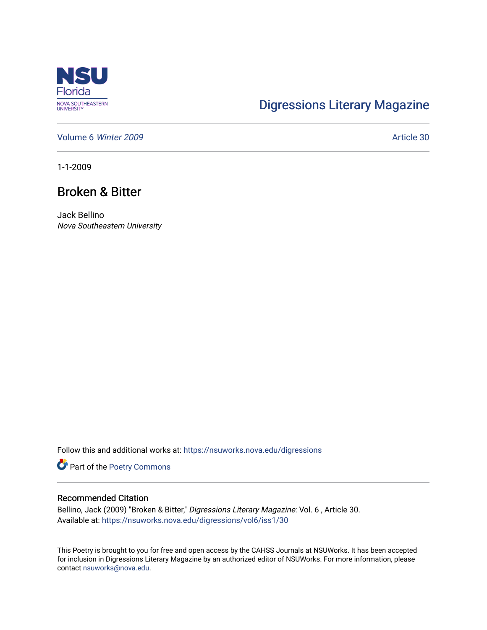

## [Digressions Literary Magazine](https://nsuworks.nova.edu/digressions)

[Volume 6](https://nsuworks.nova.edu/digressions/vol6) Winter 2009 **Article 30** 

1-1-2009

## Broken & Bitter

Jack Bellino Nova Southeastern University

Follow this and additional works at: [https://nsuworks.nova.edu/digressions](https://nsuworks.nova.edu/digressions?utm_source=nsuworks.nova.edu%2Fdigressions%2Fvol6%2Fiss1%2F30&utm_medium=PDF&utm_campaign=PDFCoverPages) 

Part of the [Poetry Commons](http://network.bepress.com/hgg/discipline/1153?utm_source=nsuworks.nova.edu%2Fdigressions%2Fvol6%2Fiss1%2F30&utm_medium=PDF&utm_campaign=PDFCoverPages) 

## Recommended Citation

Bellino, Jack (2009) "Broken & Bitter," Digressions Literary Magazine: Vol. 6 , Article 30. Available at: [https://nsuworks.nova.edu/digressions/vol6/iss1/30](https://nsuworks.nova.edu/digressions/vol6/iss1/30?utm_source=nsuworks.nova.edu%2Fdigressions%2Fvol6%2Fiss1%2F30&utm_medium=PDF&utm_campaign=PDFCoverPages) 

This Poetry is brought to you for free and open access by the CAHSS Journals at NSUWorks. It has been accepted for inclusion in Digressions Literary Magazine by an authorized editor of NSUWorks. For more information, please contact [nsuworks@nova.edu.](mailto:nsuworks@nova.edu)